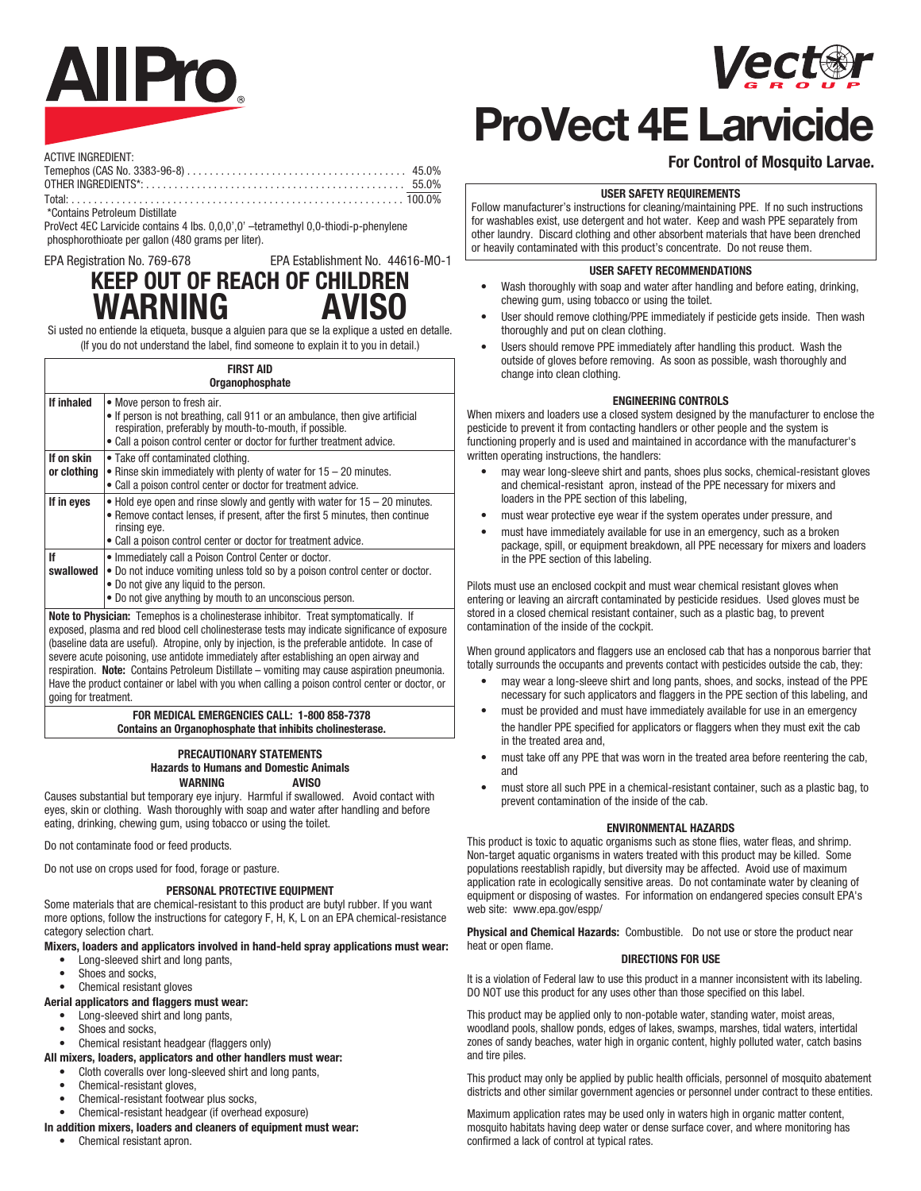# **AllPro**



## **ProVect 4E Larvicide**

#### **For Control of Mosquito Larvae.**

#### **USER SAFETY REQUIREMENTS**

Follow manufacturer's instructions for cleaning/maintaining PPE. If no such instructions for washables exist, use detergent and hot water. Keep and wash PPE separately from other laundry. Discard clothing and other absorbent materials that have been drenched or heavily contaminated with this product's concentrate. Do not reuse them.

#### **USER SAFETY RECOMMENDATIONS**

- Wash thoroughly with soap and water after handling and before eating, drinking, chewing gum, using tobacco or using the toilet.
- User should remove clothing/PPE immediately if pesticide gets inside. Then wash thoroughly and put on clean clothing.
- Users should remove PPE immediately after handling this product. Wash the outside of gloves before removing. As soon as possible, wash thoroughly and change into clean clothing.

#### **ENGINEERING CONTROLS**

When mixers and loaders use a closed system designed by the manufacturer to enclose the pesticide to prevent it from contacting handlers or other people and the system is functioning properly and is used and maintained in accordance with the manufacturer's written operating instructions, the handlers:

- may wear long-sleeve shirt and pants, shoes plus socks, chemical-resistant gloves and chemical-resistant apron, instead of the PPE necessary for mixers and loaders in the PPE section of this labeling,
- must wear protective eye wear if the system operates under pressure, and
- must have immediately available for use in an emergency, such as a broken package, spill, or equipment breakdown, all PPE necessary for mixers and loaders in the PPE section of this labeling.

Pilots must use an enclosed cockpit and must wear chemical resistant gloves when entering or leaving an aircraft contaminated by pesticide residues. Used gloves must be stored in a closed chemical resistant container, such as a plastic bag, to prevent contamination of the inside of the cockpit.

When ground applicators and flaggers use an enclosed cab that has a nonporous barrier that totally surrounds the occupants and prevents contact with pesticides outside the cab, they:

- may wear a long-sleeve shirt and long pants, shoes, and socks, instead of the PPE necessary for such applicators and flaggers in the PPE section of this labeling, and
- must be provided and must have immediately available for use in an emergency the handler PPE specified for applicators or flaggers when they must exit the cab in the treated area and,
- must take off any PPE that was worn in the treated area before reentering the cab, and
- must store all such PPE in a chemical-resistant container, such as a plastic bag, to prevent contamination of the inside of the cab.

#### **ENVIRONMENTAL HAZARDS**

This product is toxic to aquatic organisms such as stone flies, water fleas, and shrimp. Non-target aquatic organisms in waters treated with this product may be killed. Some populations reestablish rapidly, but diversity may be affected. Avoid use of maximum application rate in ecologically sensitive areas. Do not contaminate water by cleaning of equipment or disposing of wastes. For information on endangered species consult EPA's web site: www.epa.gov/espp/

**Physical and Chemical Hazards:** Combustible. Do not use or store the product near heat or open flame.

#### **DIRECTIONS FOR USE**

It is a violation of Federal law to use this product in a manner inconsistent with its labeling. DO NOT use this product for any uses other than those specified on this label.

This product may be applied only to non-potable water, standing water, moist areas, woodland pools, shallow ponds, edges of lakes, swamps, marshes, tidal waters, intertidal zones of sandy beaches, water high in organic content, highly polluted water, catch basins and tire piles.

This product may only be applied by public health officials, personnel of mosquito abatement districts and other similar government agencies or personnel under contract to these entities.

Maximum application rates may be used only in waters high in organic matter content, mosquito habitats having deep water or dense surface cover, and where monitoring has confirmed a lack of control at typical rates.

| ACTIVE INGREDIENT: |  |
|--------------------|--|
|                    |  |

\*Contains Petroleum Distillate

ProVect 4EC Larvicide contains 4 lbs. 0,0,0',0' -tetramethyl 0,0-thiodi-p-phenylene phosphorothioate per gallon (480 grams per liter).

EPA Registration No. 769-678 EPA Establishment No. 44616-MO-1

### **KEEP OUT OF REACH OF CHILDREN WARNING**

Si usted no entiende la etiqueta, busque a alguien para que se la explique a usted en detalle. (If you do not understand the label, find someone to explain it to you in detail.)

| <b>FIRST AID</b><br>Organophosphate |                                                                                                                                                                                                                                                                                                                                                                                                                                                                                          |  |  |  |  |
|-------------------------------------|------------------------------------------------------------------------------------------------------------------------------------------------------------------------------------------------------------------------------------------------------------------------------------------------------------------------------------------------------------------------------------------------------------------------------------------------------------------------------------------|--|--|--|--|
| If inhaled                          | • Move person to fresh air.<br>• If person is not breathing, call 911 or an ambulance, then give artificial<br>respiration, preferably by mouth-to-mouth, if possible.<br>• Call a poison control center or doctor for further treatment advice.                                                                                                                                                                                                                                         |  |  |  |  |
| If on skin<br>or clothing           | • Take off contaminated clothing.<br>• Rinse skin immediately with plenty of water for $15 - 20$ minutes.<br>• Call a poison control center or doctor for treatment advice.                                                                                                                                                                                                                                                                                                              |  |  |  |  |
| If in eyes                          | $\bullet$ Hold eye open and rinse slowly and gently with water for 15 – 20 minutes.<br>• Remove contact lenses, if present, after the first 5 minutes, then continue<br>rinsing eye.<br>• Call a poison control center or doctor for treatment advice.                                                                                                                                                                                                                                   |  |  |  |  |
| If<br>swallowed                     | • Immediately call a Poison Control Center or doctor.<br>. Do not induce vomiting unless told so by a poison control center or doctor.<br>• Do not give any liquid to the person.<br>• Do not give anything by mouth to an unconscious person.                                                                                                                                                                                                                                           |  |  |  |  |
|                                     | <b>Note to Physician:</b> Temephos is a cholinesterase inhibitor. Treat symptomatically. If<br>exposed, plasma and red blood cell cholinesterase tests may indicate significance of exposure<br>(baseline data are useful). Atropine, only by injection, is the preferable antidote. In case of<br>severe acute poisoning, use antidote immediately after establishing an open airway and<br>respiration. Note: Contains Petroleum Distillate – vomiting may cause aspiration pneumonia. |  |  |  |  |

going for treatment.

#### **FOR MEDICAL EMERGENCIES CALL: 1-800 858-7378 Contains an Organophosphate that inhibits cholinesterase.**

### **WARNING AVISO**

Causes substantial but temporary eye injury. Harmful if swallowed. Avoid contact with eyes, skin or clothing. Wash thoroughly with soap and water after handling and before eating, drinking, chewing gum, using tobacco or using the toilet.

Do not contaminate food or feed products.

Do not use on crops used for food, forage or pasture.

Some materials that are chemical-resistant to this product are butyl rubber. If you want more options, follow the instructions for category F, H, K, L on an EPA chemical-resistance category selection chart.

#### **Mixers, loaders and applicators involved in hand-held spray applications must wear:**

- Long-sleeved shirt and long pants,
- Shoes and socks.
- Chemical resistant gloves

#### **Aerial applicators and flaggers must wear:**

- Long-sleeved shirt and long pants,
- Shoes and socks,
- Chemical resistant headgear (flaggers only)
- **All mixers, loaders, applicators and other handlers must wear:**
	- Cloth coveralls over long-sleeved shirt and long pants,
	- Chemical-resistant gloves.
	- Chemical-resistant footwear plus socks, • Chemical-resistant headgear (if overhead exposure)
- **In addition mixers, loaders and cleaners of equipment must wear:**
	- Chemical resistant apron.

Have the product container or label with you when calling a poison control center or doctor, or

**PRECAUTIONARY STATEMENTS**

#### **PERSONAL PROTECTIVE EQUIPMENT**

**Hazards to Humans and Domestic Animals**